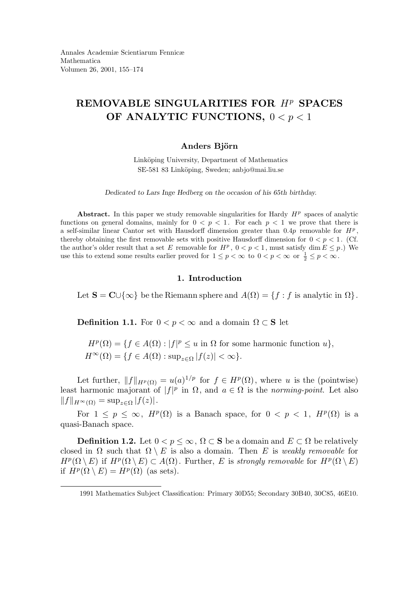# REMOVABLE SINGULARITIES FOR  $H<sup>p</sup>$  SPACES OF ANALYTIC FUNCTIONS,  $0 < p < 1$

# Anders Björn

Linköping University, Department of Mathematics SE-581 83 Linköping, Sweden; anbjo@mai.liu.se

Dedicated to Lars Inge Hedberg on the occasion of his 65th birthday.

Abstract. In this paper we study removable singularities for Hardy  $H<sup>p</sup>$  spaces of analytic functions on general domains, mainly for  $0 < p < 1$ . For each  $p < 1$  we prove that there is a self-similar linear Cantor set with Hausdorff dimension greater than  $0.4p$  removable for  $H<sup>p</sup>$ , thereby obtaining the first removable sets with positive Hausdorff dimension for  $0 < p < 1$ . (Cf. the author's older result that a set E removable for  $H^p$ ,  $0 < p < 1$ , must satisfy dim  $E \le p$ .) We use this to extend some results earlier proved for  $1 \le p < \infty$  to  $0 < p < \infty$  or  $\frac{1}{2} \le p < \infty$ .

## 1. Introduction

Let  $S = \mathbb{C} \cup \{\infty\}$  be the Riemann sphere and  $A(\Omega) = \{f : f$  is analytic in  $\Omega\}$ .

**Definition 1.1.** For  $0 < p < \infty$  and a domain  $\Omega \subset S$  let

 $H^p(\Omega) = \{ f \in A(\Omega) : |f|^p \leq u \text{ in } \Omega \text{ for some harmonic function } u \},\$  $H^{\infty}(\Omega) = \{f \in A(\Omega) : \sup_{z \in \Omega} |f(z)| < \infty\}.$ 

Let further,  $||f||_{H^p(\Omega)} = u(a)^{1/p}$  for  $f \in H^p(\Omega)$ , where u is the (pointwise) least harmonic majorant of  $|f|^p$  in  $\Omega$ , and  $a \in \Omega$  is the norming-point. Let also  $||f||_{H^{\infty}(\Omega)} = \sup_{z \in \Omega} |f(z)|.$ 

For  $1 \leq p \leq \infty$ ,  $H^p(\Omega)$  is a Banach space, for  $0 < p < 1$ ,  $H^p(\Omega)$  is a quasi-Banach space.

**Definition 1.2.** Let  $0 < p \leq \infty$ ,  $\Omega \subset \mathbf{S}$  be a domain and  $E \subset \Omega$  be relatively closed in  $\Omega$  such that  $\Omega \setminus E$  is also a domain. Then E is weakly removable for  $H^p(\Omega \setminus E)$  if  $H^p(\Omega \setminus E) \subset A(\Omega)$ . Further, E is strongly removable for  $H^p(\Omega \setminus E)$ if  $H^p(\Omega \setminus E) = H^p(\Omega)$  (as sets).

<sup>1991</sup> Mathematics Subject Classification: Primary 30D55; Secondary 30B40, 30C85, 46E10.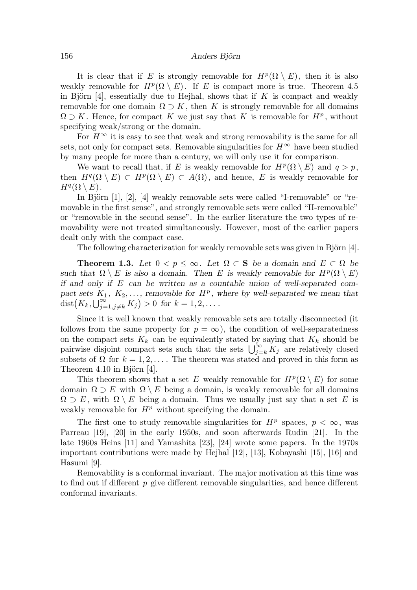It is clear that if E is strongly removable for  $H^p(\Omega \setminus E)$ , then it is also weakly removable for  $H^p(\Omega \setminus E)$ . If E is compact more is true. Theorem 4.5 in Björn [4], essentially due to Hejhal, shows that if  $K$  is compact and weakly removable for one domain  $\Omega \supset K$ , then K is strongly removable for all domains  $\Omega \supset K$ . Hence, for compact K we just say that K is removable for  $H^p$ , without specifying weak/strong or the domain.

For  $H^{\infty}$  it is easy to see that weak and strong removability is the same for all sets, not only for compact sets. Removable singularities for  $H^{\infty}$  have been studied by many people for more than a century, we will only use it for comparison.

We want to recall that, if E is weakly removable for  $H^p(\Omega \setminus E)$  and  $q > p$ , then  $H^q(\Omega \setminus E) \subset H^p(\Omega \setminus E) \subset A(\Omega)$ , and hence, E is weakly removable for  $H^q(\Omega \setminus E)$ .

In Björn  $[1]$ ,  $[2]$ ,  $[4]$  weakly removable sets were called "I-removable" or "removable in the first sense", and strongly removable sets were called "II-removable" or "removable in the second sense". In the earlier literature the two types of removability were not treated simultaneously. However, most of the earlier papers dealt only with the compact case.

The following characterization for weakly removable sets was given in Björn [4].

**Theorem 1.3.** Let  $0 < p \leq \infty$ . Let  $\Omega \subset S$  be a domain and  $E \subset \Omega$  be such that  $\Omega \setminus E$  is also a domain. Then E is weakly removable for  $H^p(\Omega \setminus E)$ if and only if  $E$  can be written as a countable union of well-separated compact sets  $K_1, K_2, \ldots$ , removable for  $H^p$ , where by well-separated we mean that  $dist(K_k, \bigcup_{j=1, j\neq k}^{\infty} K_j) > 0$  for  $k = 1, 2, \dots$ .

Since it is well known that weakly removable sets are totally disconnected (it follows from the same property for  $p = \infty$ ), the condition of well-separatedness on the compact sets  $K_k$  can be equivalently stated by saying that  $K_k$  should be pairwise disjoint compact sets such that the sets  $\bigcup_{j=k}^{\infty} K_j$  are relatively closed subsets of  $\Omega$  for  $k = 1, 2, \ldots$ . The theorem was stated and proved in this form as Theorem  $4.10$  in Björn  $|4|$ .

This theorem shows that a set E weakly removable for  $H^p(\Omega \setminus E)$  for some domain  $\Omega \supset E$  with  $\Omega \setminus E$  being a domain, is weakly removable for all domains  $\Omega \supset E$ , with  $\Omega \setminus E$  being a domain. Thus we usually just say that a set E is weakly removable for  $H^p$  without specifying the domain.

The first one to study removable singularities for  $H^p$  spaces,  $p < \infty$ , was Parreau [19], [20] in the early 1950s, and soon afterwards Rudin [21]. In the late 1960s Heins [11] and Yamashita [23], [24] wrote some papers. In the 1970s important contributions were made by Hejhal [12], [13], Kobayashi [15], [16] and Hasumi [9].

Removability is a conformal invariant. The major motivation at this time was to find out if different  $p$  give different removable singularities, and hence different conformal invariants.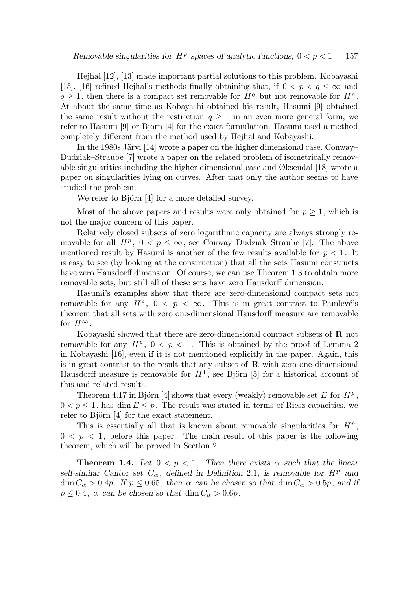Hejhal [12], [13] made important partial solutions to this problem. Kobayashi [15], [16] refined Hejhal's methods finally obtaining that, if  $0 < p < q \leq \infty$  and  $q \geq 1$ , then there is a compact set removable for  $H<sup>q</sup>$  but not removable for  $H<sup>p</sup>$ . At about the same time as Kobayashi obtained his result, Hasumi [9] obtained the same result without the restriction  $q \geq 1$  in an even more general form; we refer to Hasumi [9] or Björn [4] for the exact formulation. Hasumi used a method completely different from the method used by Hejhal and Kobayashi.

In the 1980s Järvi [14] wrote a paper on the higher dimensional case, Conway– Dudziak–Straube [7] wrote a paper on the related problem of isometrically removable singularities including the higher dimensional case and Øksendal [18] wrote a paper on singularities lying on curves. After that only the author seems to have studied the problem.

We refer to Björn  $[4]$  for a more detailed survey.

Most of the above papers and results were only obtained for  $p \geq 1$ , which is not the major concern of this paper.

Relatively closed subsets of zero logarithmic capacity are always strongly removable for all  $H^p$ ,  $0 < p \le \infty$ , see Conway–Dudziak–Straube [7]. The above mentioned result by Hasumi is another of the few results available for  $p < 1$ . It is easy to see (by looking at the construction) that all the sets Hasumi constructs have zero Hausdorff dimension. Of course, we can use Theorem 1.3 to obtain more removable sets, but still all of these sets have zero Hausdorff dimension.

Hasumi's examples show that there are zero-dimensional compact sets not removable for any  $H^p$ ,  $0 < p < \infty$ . This is in great contrast to Painlevé's theorem that all sets with zero one-dimensional Hausdorff measure are removable for  $H^{\infty}$ .

Kobayashi showed that there are zero-dimensional compact subsets of R not removable for any  $H^p$ ,  $0 < p < 1$ . This is obtained by the proof of Lemma 2 in Kobayashi [16], even if it is not mentioned explicitly in the paper. Again, this is in great contrast to the result that any subset of  $\bf{R}$  with zero one-dimensional Hausdorff measure is removable for  $H^1$ , see Björn [5] for a historical account of this and related results.

Theorem 4.17 in Björn [4] shows that every (weakly) removable set E for  $H^p$ ,  $0 < p \leq 1$ , has dim  $E \leq p$ . The result was stated in terms of Riesz capacities, we refer to Björn  $[4]$  for the exact statement.

This is essentially all that is known about removable singularities for  $H<sup>p</sup>$ ,  $0 \leq p \leq 1$ , before this paper. The main result of this paper is the following theorem, which will be proved in Section 2.

**Theorem 1.4.** Let  $0 < p < 1$ . Then there exists  $\alpha$  such that the linear self-similar Cantor set  $C_{\alpha}$ , defined in Definition 2.1, is removable for  $H^p$  and  $\dim C_{\alpha} > 0.4p$ . If  $p \le 0.65$ , then  $\alpha$  can be chosen so that  $\dim C_{\alpha} > 0.5p$ , and if  $p \leq 0.4$ ,  $\alpha$  can be chosen so that dim  $C_{\alpha} > 0.6p$ .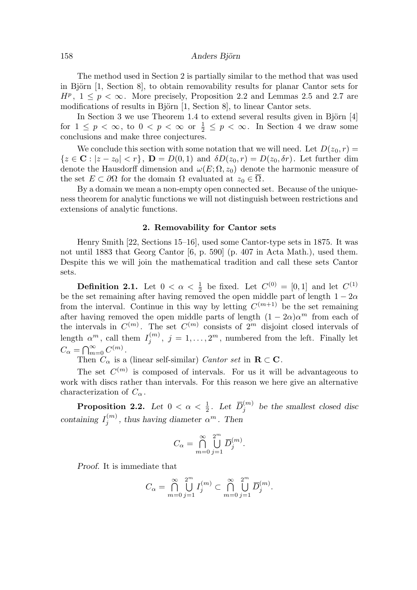The method used in Section 2 is partially similar to the method that was used in Björn  $[1, \text{Section 8}]$ , to obtain removability results for planar Cantor sets for  $H^p$ ,  $1 \leq p < \infty$ . More precisely, Proposition 2.2 and Lemmas 2.5 and 2.7 are modifications of results in Björn  $[1, \text{Section 8}]$ , to linear Cantor sets.

In Section 3 we use Theorem 1.4 to extend several results given in Björn  $[4]$ for  $1 \leq p < \infty$ , to  $0 < p < \infty$  or  $\frac{1}{2} \leq p < \infty$ . In Section 4 we draw some conclusions and make three conjectures.

We conclude this section with some notation that we will need. Let  $D(z_0, r) =$  ${z \in \mathbf{C} : |z - z_0| < r}, \ \mathbf{D} = D(0, 1) \text{ and } \delta D(z_0, r) = D(z_0, \delta r).$  Let further dim denote the Hausdorff dimension and  $\omega(E; \Omega, z_0)$  denote the harmonic measure of the set  $E \subset \partial\Omega$  for the domain  $\Omega$  evaluated at  $z_0 \in \Omega$ .

By a domain we mean a non-empty open connected set. Because of the uniqueness theorem for analytic functions we will not distinguish between restrictions and extensions of analytic functions.

## 2. Removability for Cantor sets

Henry Smith [22, Sections 15–16], used some Cantor-type sets in 1875. It was not until 1883 that Georg Cantor [6, p. 590] (p. 407 in Acta Math.), used them. Despite this we will join the mathematical tradition and call these sets Cantor sets.

**Definition 2.1.** Let  $0 < \alpha < \frac{1}{2}$  $\frac{1}{2}$  be fixed. Let  $C^{(0)} = [0, 1]$  and let  $C^{(1)}$ be the set remaining after having removed the open middle part of length  $1 - 2\alpha$ from the interval. Continue in this way by letting  $C^{(m+1)}$  be the set remaining after having removed the open middle parts of length  $(1 - 2\alpha)\alpha^m$  from each of the intervals in  $C^{(m)}$ . The set  $C^{(m)}$  consists of  $2^m$  disjoint closed intervals of length  $\alpha^m$ , call them  $I_i^{(m)}$  $j_j^{(m)}$ ,  $j = 1, \ldots, 2^m$ , numbered from the left. Finally let  $C_{\alpha} = \bigcap_{m=0}^{\infty} C^{(m)}$ .

Then  $C_{\alpha}$  is a (linear self-similar) Cantor set in  $\mathbf{R} \subset \mathbf{C}$ .

The set  $C^{(m)}$  is composed of intervals. For us it will be advantageous to work with discs rather than intervals. For this reason we here give an alternative characterization of  $C_{\alpha}$ .

**Proposition 2.2.** Let  $0 < \alpha < \frac{1}{2}$  $rac{1}{2}$ . Let  $\overline{D}_j^{(m)}$  $j^{(m)}$  be the smallest closed disc containing  $I_i^{(m)}$  $j^{(m)}$ , thus having diameter  $\alpha^m$ . Then

$$
C_{\alpha} = \bigcap_{m=0}^{\infty} \bigcup_{j=1}^{2^m} \overline{D}_j^{(m)}.
$$

Proof. It is immediate that

$$
C_{\alpha} = \bigcap_{m=0}^{\infty} \bigcup_{j=1}^{2^m} I_j^{(m)} \subset \bigcap_{m=0}^{\infty} \bigcup_{j=1}^{2^m} \overline{D}_j^{(m)}.
$$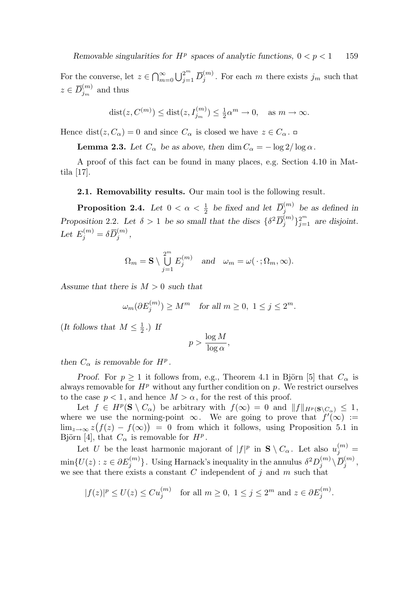For the converse, let  $z \in \bigcap_{m=0}^{\infty} \bigcup_{j=1}^{2^m} \overline{D}_j^{(m)}$  $j_j^{(m)}$ . For each m there exists  $j_m$  such that  $z \in \overline{D}_{j_m}^{(m)}$  $j_m^{(m)}$  and thus

$$
dist(z, C^{(m)}) \leq dist(z, I_{j_m}^{(m)}) \leq \frac{1}{2}\alpha^m \to 0, \quad \text{as } m \to \infty.
$$

Hence dist $(z, C_{\alpha}) = 0$  and since  $C_{\alpha}$  is closed we have  $z \in C_{\alpha}$ .

**Lemma 2.3.** Let  $C_{\alpha}$  be as above, then dim  $C_{\alpha} = -\log 2/\log \alpha$ .

A proof of this fact can be found in many places, e.g. Section 4.10 in Mattila [17].

2.1. Removability results. Our main tool is the following result.

**Proposition 2.4.** Let  $0 < \alpha < \frac{1}{2}$  $\frac{1}{2}$  be fixed and let  $\overline{D}_j^{(m)}$  $j^{(m)}$  be as defined in Proposition 2.2. Let  $\delta > 1$  be so small that the discs  $\{\delta^2 \overline{D}_j^{(m)}\}$  ${j \choose j}_{j=1}^{2^m}$  are disjoint. Let  $E_j^{(m)} = \delta \overline{D}_j^{(m)}$  $\frac{(m)}{j}$  ,

$$
\Omega_m = \mathbf{S} \setminus \bigcup_{j=1}^{2^m} E_j^{(m)} \quad \text{and} \quad \omega_m = \omega(\cdot; \Omega_m, \infty).
$$

Assume that there is  $M > 0$  such that

$$
\omega_m(\partial E_j^{(m)}) \ge M^m \quad \text{for all } m \ge 0, \ 1 \le j \le 2^m.
$$

(It follows that  $M \leq \frac{1}{2}$  $\frac{1}{2}$ .) If

$$
p > \frac{\log M}{\log \alpha},
$$

then  $C_{\alpha}$  is removable for  $H^{p}$ .

*Proof.* For  $p \geq 1$  it follows from, e.g., Theorem 4.1 in Björn [5] that  $C_{\alpha}$  is always removable for  $H^p$  without any further condition on p. We restrict ourselves to the case  $p < 1$ , and hence  $M > \alpha$ , for the rest of this proof.

Let  $f \in H^p(\mathbf{S} \setminus C_\alpha)$  be arbitrary with  $f(\infty) = 0$  and  $||f||_{H^p(\mathbf{S} \setminus C_\alpha)} \leq 1$ , where we use the norming-point  $\infty$ . We are going to prove that  $f'(\infty) :=$  $\lim_{z\to\infty}z(f(z)-f(\infty))=0$  from which it follows, using Proposition 5.1 in Björn [4], that  $C_{\alpha}$  is removable for  $H^{p}$ .

Let U be the least harmonic majorant of  $|f|^p$  in  $S \setminus C_\alpha$ . Let also  $u_j^{(m)} =$  $\min\{U(z): z\in \partial E_j^{(m)}\}$  ${j<sup>(m)</sup>}$ . Using Harnack's inequality in the annulus  $\delta^2 D_j^{(m)}$  $\langle m \rangle \langle \,\overline D^{(m)}_j \,$  $j^{(m)},$ we see that there exists a constant  $C$  independent of  $j$  and  $m$  such that

$$
|f(z)|^p \le U(z) \le C u_j^{(m)} \quad \text{for all } m \ge 0, \ 1 \le j \le 2^m \text{ and } z \in \partial E_j^{(m)}
$$

.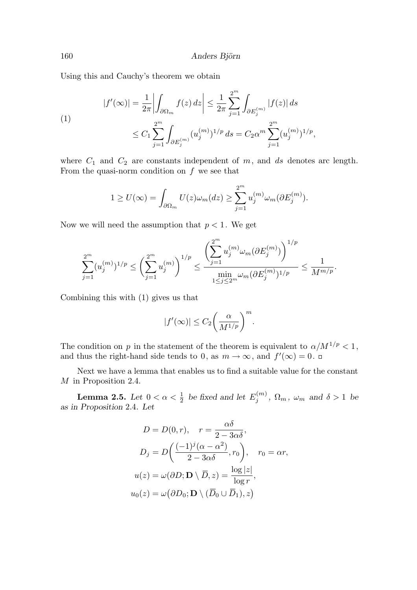Using this and Cauchy's theorem we obtain

$$
|f'(\infty)| = \frac{1}{2\pi} \left| \int_{\partial \Omega_m} f(z) \, dz \right| \le \frac{1}{2\pi} \sum_{j=1}^{2^m} \int_{\partial E_j^{(m)}} |f(z)| \, ds
$$
\n
$$
\le C_1 \sum_{j=1}^{2^m} \int_{\partial E_j^{(m)}} (u_j^{(m)})^{1/p} \, ds = C_2 \alpha^m \sum_{j=1}^{2^m} (u_j^{(m)})^{1/p},
$$

where  $C_1$  and  $C_2$  are constants independent of  $m$ , and  $ds$  denotes arc length. From the quasi-norm condition on  $f$  we see that

$$
1 \geq U(\infty) = \int_{\partial \Omega_m} U(z) \omega_m(dz) \geq \sum_{j=1}^{2^m} u_j^{(m)} \omega_m(\partial E_j^{(m)}).
$$

Now we will need the assumption that  $p < 1$ . We get

$$
\sum_{j=1}^{2^m} (u_j^{(m)})^{1/p} \le \left(\sum_{j=1}^{2^m} u_j^{(m)}\right)^{1/p} \le \frac{\left(\sum_{j=1}^{2^m} u_j^{(m)} \omega_m(\partial E_j^{(m)})\right)^{1/p}}{\min\limits_{1 \le j \le 2^m} \omega_m(\partial E_j^{(m)})^{1/p}} \le \frac{1}{M^{m/p}}.
$$

Combining this with (1) gives us that

$$
|f'(\infty)| \le C_2 \bigg(\frac{\alpha}{M^{1/p}}\bigg)^m.
$$

The condition on p in the statement of the theorem is equivalent to  $\alpha/M^{1/p} < 1$ , and thus the right-hand side tends to 0, as  $m \to \infty$ , and  $f'(\infty) = 0$ .

Next we have a lemma that enables us to find a suitable value for the constant M in Proposition 2.4.

Lemma 2.5. Let  $0 < \alpha < \frac{1}{2}$  $\frac{1}{2}$  be fixed and let  $E_j^{(m)}$  $j^{(m)}$ ,  $\Omega_m$ ,  $\omega_m$  and  $\delta > 1$  be as in Proposition 2.4. Let

$$
D = D(0, r), \quad r = \frac{\alpha \delta}{2 - 3\alpha \delta},
$$

$$
D_j = D\left(\frac{(-1)^j (\alpha - \alpha^2)}{2 - 3\alpha \delta}, r_0\right), \quad r_0 = \alpha r,
$$

$$
u(z) = \omega(\partial D; \mathbf{D} \setminus \overline{D}, z) = \frac{\log |z|}{\log r},
$$

$$
u_0(z) = \omega(\partial D_0; \mathbf{D} \setminus (\overline{D}_0 \cup \overline{D}_1), z)
$$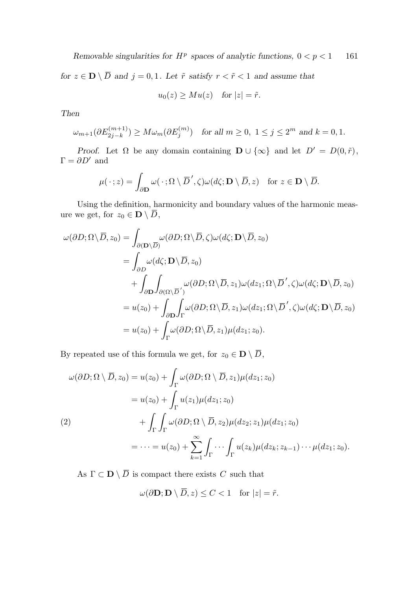Removable singularities for  $H^p$  spaces of analytic functions,  $0 < p < 1$  161

for  $z \in \mathbf{D} \setminus \overline{D}$  and  $j = 0, 1$ . Let  $\tilde{r}$  satisfy  $r < \tilde{r} < 1$  and assume that

$$
u_0(z) \geq M u(z) \quad \text{for } |z| = \tilde{r}.
$$

Then

$$
\omega_{m+1}(\partial E_{2j-k}^{(m+1)}) \ge M \omega_m(\partial E_j^{(m)}) \quad \text{for all } m \ge 0, \ 1 \le j \le 2^m \text{ and } k = 0, 1.
$$

Proof. Let  $\Omega$  be any domain containing  $\mathbf{D} \cup \{\infty\}$  and let  $D' = D(0, \tilde{r}),$  $\Gamma=\partial D'$  and

$$
\mu(\,\cdot\,;z)=\int_{\partial \mathbf{D}}\omega(\,\cdot\,;\Omega\setminus\overline{D}',\zeta)\omega(d\zeta;\mathbf{D}\setminus\overline{D},z)\quad\text{for }z\in\mathbf{D}\setminus\overline{D}.
$$

Using the definition, harmonicity and boundary values of the harmonic measure we get, for  $z_0 \in \mathbf{D} \setminus \overline{D}$ ,

$$
\omega(\partial D; \Omega \setminus \overline{D}, z_0) = \int_{\partial(D; \overline{D})} \omega(\partial D; \Omega \setminus \overline{D}, \zeta) \omega(d\zeta; \mathbf{D} \setminus \overline{D}, z_0)
$$
  
\n
$$
= \int_{\partial D} \omega(d\zeta; \mathbf{D} \setminus \overline{D}, z_0)
$$
  
\n
$$
+ \int_{\partial \mathbf{D}} \int_{\partial(\Omega \setminus \overline{D}')} \omega(\partial D; \Omega \setminus \overline{D}, z_1) \omega(dz_1; \Omega \setminus \overline{D}', \zeta) \omega(d\zeta; \mathbf{D} \setminus \overline{D}, z_0)
$$
  
\n
$$
= u(z_0) + \int_{\partial \mathbf{D}} \int_{\Gamma} \omega(\partial D; \Omega \setminus \overline{D}, z_1) \omega(dz_1; \Omega \setminus \overline{D}', \zeta) \omega(d\zeta; \mathbf{D} \setminus \overline{D}, z_0)
$$
  
\n
$$
= u(z_0) + \int_{\Gamma} \omega(\partial D; \Omega \setminus \overline{D}, z_1) \mu(dz_1; z_0).
$$

By repeated use of this formula we get, for  $z_0 \in \mathbf{D} \setminus \overline{D}$ ,

$$
\omega(\partial D; \Omega \setminus \overline{D}, z_0) = u(z_0) + \int_{\Gamma} \omega(\partial D; \Omega \setminus \overline{D}, z_1) \mu(dz_1; z_0)
$$
  

$$
= u(z_0) + \int_{\Gamma} u(z_1) \mu(dz_1; z_0)
$$
  

$$
+ \int_{\Gamma} \int_{\Gamma} \omega(\partial D; \Omega \setminus \overline{D}, z_2) \mu(dz_2; z_1) \mu(dz_1; z_0)
$$
  

$$
= \cdots = u(z_0) + \sum_{k=1}^{\infty} \int_{\Gamma} \cdots \int_{\Gamma} u(z_k) \mu(dz_k; z_{k-1}) \cdots \mu(dz_1; z_0).
$$

As  $\Gamma \subset \mathbf{D} \setminus \overline{D}$  is compact there exists C such that

$$
\omega(\partial \mathbf{D}; \mathbf{D} \setminus \overline{D}, z) \le C < 1 \quad \text{for } |z| = \tilde{r}.
$$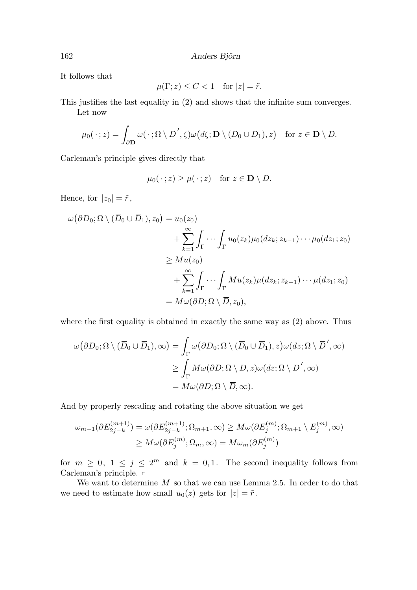It follows that

$$
\mu(\Gamma; z) \le C < 1 \quad \text{for } |z| = \tilde{r}.
$$

This justifies the last equality in (2) and shows that the infinite sum converges. Let now

$$
\mu_0(\,\cdot\,;z)=\int_{\partial \mathbf{D}}\omega(\,\cdot\,; \Omega\setminus\overline{D}',\zeta)\omega\big(d\zeta; \mathbf{D}\setminus(\overline{D}_0\cup\overline{D}_1),z\big)\quad\text{for }z\in\mathbf{D}\setminus\overline{D}.
$$

Carleman's principle gives directly that

$$
\mu_0(\,\cdot\,;z)\geq\mu(\,\cdot\,;z)\quad\text{for }z\in\mathbf{D}\setminus\overline{D}.
$$

Hence, for  $|z_0| = \tilde{r}$ ,

$$
\omega(\partial D_0; \Omega \setminus (\overline{D}_0 \cup \overline{D}_1), z_0) = u_0(z_0)
$$
  
+ 
$$
\sum_{k=1}^{\infty} \int_{\Gamma} \cdots \int_{\Gamma} u_0(z_k) \mu_0(dz_k; z_{k-1}) \cdots \mu_0(dz_1; z_0)
$$
  

$$
\geq Mu(z_0)
$$
  
+ 
$$
\sum_{k=1}^{\infty} \int_{\Gamma} \cdots \int_{\Gamma} Mu(z_k) \mu(dz_k; z_{k-1}) \cdots \mu(dz_1; z_0)
$$
  
= 
$$
M\omega(\partial D; \Omega \setminus \overline{D}, z_0),
$$

where the first equality is obtained in exactly the same way as (2) above. Thus

$$
\omega(\partial D_0; \Omega \setminus (\overline{D}_0 \cup \overline{D}_1), \infty) = \int_{\Gamma} \omega(\partial D_0; \Omega \setminus (\overline{D}_0 \cup \overline{D}_1), z) \omega(dz; \Omega \setminus \overline{D}', \infty)
$$
  
\n
$$
\geq \int_{\Gamma} M \omega(\partial D; \Omega \setminus \overline{D}, z) \omega(dz; \Omega \setminus \overline{D}', \infty)
$$
  
\n
$$
= M \omega(\partial D; \Omega \setminus \overline{D}, \infty).
$$

And by properly rescaling and rotating the above situation we get

$$
\omega_{m+1}(\partial E_{2j-k}^{(m+1)}) = \omega(\partial E_{2j-k}^{(m+1)}; \Omega_{m+1}, \infty) \ge M\omega(\partial E_j^{(m)}; \Omega_{m+1} \setminus E_j^{(m)}, \infty)
$$

$$
\ge M\omega(\partial E_j^{(m)}; \Omega_m, \infty) = M\omega_m(\partial E_j^{(m)})
$$

for  $m \geq 0, 1 \leq j \leq 2^m$  and  $k = 0, 1$ . The second inequality follows from Carleman's principle.

We want to determine  $M$  so that we can use Lemma 2.5. In order to do that we need to estimate how small  $u_0(z)$  gets for  $|z| = \tilde{r}$ .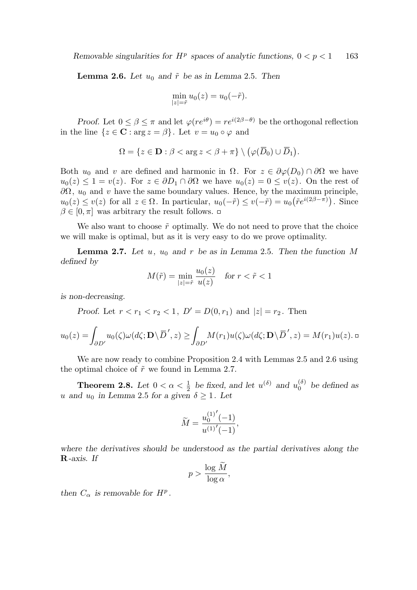**Lemma 2.6.** Let  $u_0$  and  $\tilde{r}$  be as in Lemma 2.5. Then

$$
\min_{|z|=\tilde{r}} u_0(z) = u_0(-\tilde{r}).
$$

Proof. Let  $0 \leq \beta \leq \pi$  and let  $\varphi(re^{i\theta}) = re^{i(2\beta-\theta)}$  be the orthogonal reflection in the line  $\{z \in \mathbf{C} : \arg z = \beta\}$ . Let  $v = u_0 \circ \varphi$  and

$$
\Omega = \{ z \in \mathbf{D} : \beta < \arg z < \beta + \pi \} \setminus (\varphi(\overline{D}_0) \cup \overline{D}_1).
$$

Both  $u_0$  and v are defined and harmonic in  $\Omega$ . For  $z \in \partial \varphi(D_0) \cap \partial \Omega$  we have  $u_0(z) \leq 1 = v(z)$ . For  $z \in \partial D_1 \cap \partial \Omega$  we have  $u_0(z) = 0 \leq v(z)$ . On the rest of  $\partial\Omega$ ,  $u_0$  and v have the same boundary values. Hence, by the maximum principle,  $u_0(z) \le v(z)$  for all  $z \in \Omega$ . In particular,  $u_0(-\tilde{r}) \le v(-\tilde{r}) = u_0(\tilde{r}e^{i(2\beta - \pi)})$ . Since  $\beta \in [0, \pi]$  was arbitrary the result follows.  $\Box$ 

We also want to choose  $\tilde{r}$  optimally. We do not need to prove that the choice we will make is optimal, but as it is very easy to do we prove optimality.

**Lemma 2.7.** Let u, u<sub>0</sub> and r be as in Lemma 2.5. Then the function M defined by

$$
M(\tilde{r}) = \min_{|z| = \tilde{r}} \frac{u_0(z)}{u(z)} \quad \text{for } r < \tilde{r} < 1
$$

is non-decreasing.

Proof. Let  $r < r_1 < r_2 < 1$ ,  $D' = D(0, r_1)$  and  $|z| = r_2$ . Then

$$
u_0(z) = \int_{\partial D'} u_0(\zeta) \omega(d\zeta; \mathbf{D} \setminus \overline{D}', z) \ge \int_{\partial D'} M(r_1) u(\zeta) \omega(d\zeta; \mathbf{D} \setminus \overline{D}', z) = M(r_1) u(z).
$$

We are now ready to combine Proposition 2.4 with Lemmas 2.5 and 2.6 using the optimal choice of  $\tilde{r}$  we found in Lemma 2.7.

Theorem 2.8. Let  $0 < \alpha < \frac{1}{2}$  $\frac{1}{2}$  be fixed, and let  $u^{(\delta)}$  and  $u_0^{(\delta)}$  be defined as u and  $u_0$  in Lemma 2.5 for a given  $\delta > 1$ . Let

$$
\widetilde{M} = \frac{u_0^{(1)'}(-1)}{u^{(1)'}(-1)},
$$

where the derivatives should be understood as the partial derivatives along the R-axis. If

$$
p > \frac{\log M}{\log \alpha},
$$

then  $C_{\alpha}$  is removable for  $H^{p}$ .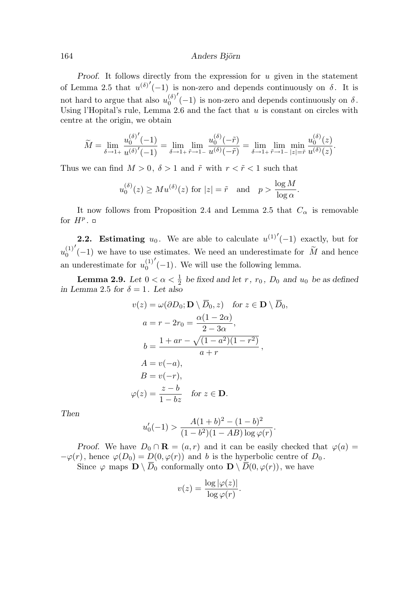Proof. It follows directly from the expression for  $u$  given in the statement of Lemma 2.5 that  $u^{(\delta)'}(-1)$  is non-zero and depends continuously on  $\delta$ . It is not hard to argue that also  $u_0^{(\delta)}$ 0  $($ -1) is non-zero and depends continuously on  $\delta$ . Using l'Hopital's rule, Lemma 2.6 and the fact that  $u$  is constant on circles with centre at the origin, we obtain

$$
\widetilde{M} = \lim_{\delta \to 1+} \frac{u_0^{(\delta)'}(-1)}{u^{(\delta)'}(-1)} = \lim_{\delta \to 1+} \lim_{\tilde{r} \to 1-} \frac{u_0^{(\delta)}(-\tilde{r})}{u^{(\delta)}(-\tilde{r})} = \lim_{\delta \to 1+} \lim_{\tilde{r} \to 1-} \lim_{|z|=\tilde{r}} \frac{u_0^{(\delta)}(z)}{u^{(\delta)}(z)}.
$$

Thus we can find  $M > 0$ ,  $\delta > 1$  and  $\tilde{r}$  with  $r < \tilde{r} < 1$  such that

$$
u_0^{(\delta)}(z) \geq Mu^{(\delta)}(z)
$$
 for  $|z| = \tilde{r}$  and  $p > \frac{\log M}{\log \alpha}$ .

It now follows from Proposition 2.4 and Lemma 2.5 that  $C_{\alpha}$  is removable for  $H^p$ .

**2.2.** Estimating  $u_0$ . We are able to calculate  $u^{(1)'}(-1)$  exactly, but for  $u_0^{(1)}$ 0  $\tilde{M}(-1)$  we have to use estimates. We need an underestimate for  $\tilde{M}$  and hence an underestimate for  $u_0^{(1)}$ 0  $\left( -1\right)$ . We will use the following lemma.

Lemma 2.9. Let  $0 < \alpha < \frac{1}{2}$  $\frac{1}{2}$  be fixed and let r,  $r_0$ ,  $D_0$  and  $u_0$  be as defined in Lemma 2.5 for  $\delta = 1$ . Let also

$$
v(z) = \omega(\partial D_0; \mathbf{D} \setminus \overline{D}_0, z) \text{ for } z \in \mathbf{D} \setminus \overline{D}_0,
$$
  
\n
$$
a = r - 2r_0 = \frac{\alpha(1 - 2\alpha)}{2 - 3\alpha},
$$
  
\n
$$
b = \frac{1 + ar - \sqrt{(1 - a^2)(1 - r^2)}}{a + r},
$$
  
\n
$$
A = v(-a),
$$
  
\n
$$
B = v(-r),
$$
  
\n
$$
\varphi(z) = \frac{z - b}{1 - bz} \text{ for } z \in \mathbf{D}.
$$

Then

$$
u'_{0}(-1) > \frac{A(1+b)^{2} - (1-b)^{2}}{(1-b^{2})(1 - AB)\log \varphi(r)}.
$$

Proof. We have  $D_0 \cap \mathbf{R} = (a, r)$  and it can be easily checked that  $\varphi(a) =$  $-\varphi(r)$ , hence  $\varphi(D_0) = D(0, \varphi(r))$  and b is the hyperbolic centre of  $D_0$ . Since  $\varphi$  maps  $\mathbf{D} \setminus \overline{D}_0$  conformally onto  $\mathbf{D} \setminus \overline{D}(0, \varphi(r))$ , we have

$$
v(z) = \frac{\log |\varphi(z)|}{\log \varphi(r)}.
$$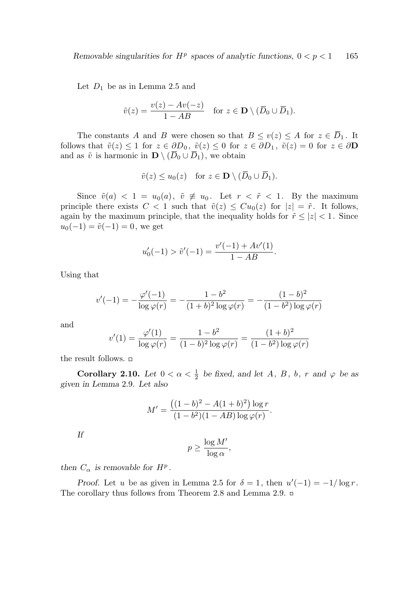Let  $D_1$  be as in Lemma 2.5 and

$$
\tilde{v}(z) = \frac{v(z) - Av(-z)}{1 - AB} \quad \text{for } z \in \mathbf{D} \setminus (\overline{D}_0 \cup \overline{D}_1).
$$

The constants A and B were chosen so that  $B \le v(z) \le A$  for  $z \in \overline{D}_1$ . It follows that  $\tilde{v}(z) \leq 1$  for  $z \in \partial D_0$ ,  $\tilde{v}(z) \leq 0$  for  $z \in \partial D_1$ ,  $\tilde{v}(z) = 0$  for  $z \in \partial D$ and as  $\tilde{v}$  is harmonic in  $\mathbf{D} \setminus (\overline{D}_0 \cup \overline{D}_1)$ , we obtain

$$
\tilde{v}(z) \le u_0(z) \quad \text{for } z \in \mathbf{D} \setminus (\overline{D}_0 \cup \overline{D}_1).
$$

Since  $\tilde{v}(a) < 1 = u_0(a), \tilde{v} \neq u_0$ . Let  $r < \tilde{r} < 1$ . By the maximum principle there exists  $C < 1$  such that  $\tilde{v}(z) \leq C u_0(z)$  for  $|z| = \tilde{r}$ . It follows, again by the maximum principle, that the inequality holds for  $\tilde{r} \leq |z| < 1$ . Since  $u_0(-1) = \tilde{v}(-1) = 0$ , we get

$$
u'_0(-1) > \tilde{v}'(-1) = \frac{v'(-1) + Av'(1)}{1 - AB}.
$$

Using that

$$
v'(-1) = -\frac{\varphi'(-1)}{\log \varphi(r)} = -\frac{1 - b^2}{(1 + b)^2 \log \varphi(r)} = -\frac{(1 - b)^2}{(1 - b^2) \log \varphi(r)}
$$

and

$$
v'(1) = \frac{\varphi'(1)}{\log \varphi(r)} = \frac{1 - b^2}{(1 - b)^2 \log \varphi(r)} = \frac{(1 + b)^2}{(1 - b^2) \log \varphi(r)}
$$

the result follows.  $\Box$ 

Corollary 2.10. Let  $0 < \alpha < \frac{1}{2}$  $\frac{1}{2}$  be fixed, and let A, B, b, r and  $\varphi$  be as given in Lemma 2.9. Let also

$$
M' = \frac{((1-b)^2 - A(1+b)^2) \log r}{(1-b^2)(1-AB) \log \varphi(r)}.
$$

If

$$
p \ge \frac{\log M'}{\log \alpha},
$$

then  $C_{\alpha}$  is removable for  $H^{p}$ .

Proof. Let u be as given in Lemma 2.5 for  $\delta = 1$ , then  $u'(-1) = -1/\log r$ . The corollary thus follows from Theorem 2.8 and Lemma 2.9. □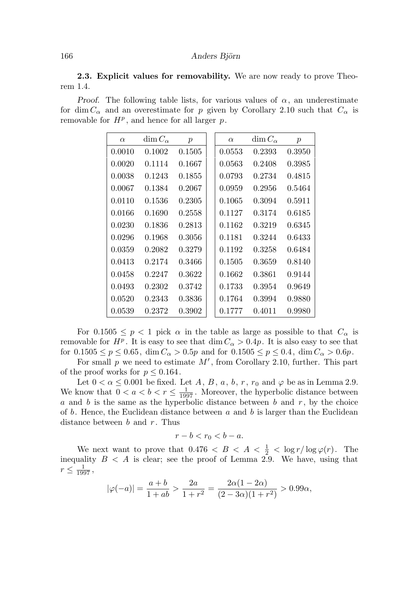2.3. Explicit values for removability. We are now ready to prove Theorem 1.4.

Proof. The following table lists, for various values of  $\alpha$ , an underestimate for dim  $C_{\alpha}$  and an overestimate for p given by Corollary 2.10 such that  $C_{\alpha}$  is removable for  $H^p$ , and hence for all larger  $p$ .

| $\alpha$ | $\dim C_{\alpha}$ | $\boldsymbol{p}$ | $\alpha$ | $\dim C_{\alpha}$ | $\boldsymbol{p}$ |
|----------|-------------------|------------------|----------|-------------------|------------------|
| 0.0010   | 0.1002            | 0.1505           | 0.0553   | 0.2393            | 0.3950           |
| 0.0020   | 0.1114            | 0.1667           | 0.0563   | 0.2408            | 0.3985           |
| 0.0038   | 0.1243            | 0.1855           | 0.0793   | 0.2734            | 0.4815           |
| 0.0067   | 0.1384            | 0.2067           | 0.0959   | 0.2956            | 0.5464           |
| 0.0110   | 0.1536            | 0.2305           | 0.1065   | 0.3094            | 0.5911           |
| 0.0166   | 0.1690            | 0.2558           | 0.1127   | 0.3174            | 0.6185           |
| 0.0230   | 0.1836            | 0.2813           | 0.1162   | 0.3219            | 0.6345           |
| 0.0296   | 0.1968            | 0.3056           | 0.1181   | 0.3244            | 0.6433           |
| 0.0359   | 0.2082            | 0.3279           | 0.1192   | 0.3258            | 0.6484           |
| 0.0413   | 0.2174            | 0.3466           | 0.1505   | 0.3659            | 0.8140           |
| 0.0458   | 0.2247            | 0.3622           | 0.1662   | 0.3861            | 0.9144           |
| 0.0493   | 0.2302            | 0.3742           | 0.1733   | 0.3954            | 0.9649           |
| 0.0520   | 0.2343            | 0.3836           | 0.1764   | 0.3994            | 0.9880           |
| 0.0539   | 0.2372            | 0.3902           | 0.1777   | 0.4011            | 0.9980           |

For  $0.1505 \leq p < 1$  pick  $\alpha$  in the table as large as possible to that  $C_{\alpha}$  is removable for  $H^p$ . It is easy to see that  $\dim C_\alpha > 0.4p$ . It is also easy to see that for  $0.1505 \le p \le 0.65$ , dim  $C_{\alpha} > 0.5p$  and for  $0.1505 \le p \le 0.4$ , dim  $C_{\alpha} > 0.6p$ .

For small  $p$  we need to estimate  $M'$ , from Corollary 2.10, further. This part of the proof works for  $p \leq 0.164$ .

Let  $0 < \alpha \leq 0.001$  be fixed. Let A, B, a, b, r,  $r_0$  and  $\varphi$  be as in Lemma 2.9. We know that  $0 < a < b < r \leq \frac{1}{1997}$ . Moreover, the hyperbolic distance between a and b is the same as the hyperbolic distance between b and  $r$ , by the choice of b. Hence, the Euclidean distance between  $a$  and  $b$  is larger than the Euclidean distance between b and  $r$ . Thus

$$
r-b < r_0 < b-a.
$$

We next want to prove that  $0.476 < B < A < \frac{1}{2} < \log r / \log \varphi(r)$ . The inequality  $B < A$  is clear; see the proof of Lemma 2.9. We have, using that  $r \leq \frac{1}{1997}$ ,

$$
|\varphi(-a)| = \frac{a+b}{1+ab} > \frac{2a}{1+r^2} = \frac{2\alpha(1-2\alpha)}{(2-3\alpha)(1+r^2)} > 0.99\alpha,
$$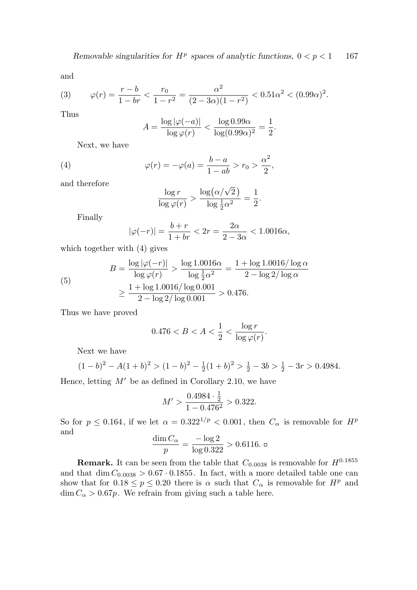and

(3) 
$$
\varphi(r) = \frac{r - b}{1 - br} < \frac{r_0}{1 - r^2} = \frac{\alpha^2}{(2 - 3\alpha)(1 - r^2)} < 0.51\alpha^2 < (0.99\alpha)^2.
$$

Thus

$$
A = \frac{\log |\varphi(-a)|}{\log \varphi(r)} < \frac{\log 0.99\alpha}{\log(0.99\alpha)^2} = \frac{1}{2}.
$$

Next, we have

(4) 
$$
\varphi(r) = -\varphi(a) = \frac{b-a}{1 - ab} > r_0 > \frac{\alpha^2}{2},
$$

and therefore

$$
\frac{\log r}{\log \varphi(r)} > \frac{\log (\alpha/\sqrt{2})}{\log \frac{1}{2}\alpha^2} = \frac{1}{2}.
$$

Finally

$$
|\varphi(-r)| = \frac{b+r}{1+br} < 2r = \frac{2\alpha}{2-3\alpha} < 1.0016\alpha,
$$

which together with (4) gives

(5)  

$$
B = \frac{\log |\varphi(-r)|}{\log \varphi(r)} > \frac{\log 1.0016\alpha}{\log \frac{1}{2}\alpha^2} = \frac{1 + \log 1.0016/\log \alpha}{2 - \log 2/\log \alpha} \ge \frac{1 + \log 1.0016/\log 0.001}{2 - \log 2/\log 0.001} > 0.476.
$$

Thus we have proved

$$
0.476 < B < A < \frac{1}{2} < \frac{\log r}{\log \varphi(r)}.
$$

Next we have

$$
(1-b)^2 - A(1+b)^2 > (1-b)^2 - \frac{1}{2}(1+b)^2 > \frac{1}{2} - 3b > \frac{1}{2} - 3r > 0.4984.
$$

Hence, letting  $M'$  be as defined in Corollary 2.10, we have

$$
M' > \frac{0.4984 \cdot \frac{1}{2}}{1 - 0.476^2} > 0.322.
$$

So for  $p \le 0.164$ , if we let  $\alpha = 0.322^{1/p} < 0.001$ , then  $C_{\alpha}$  is removable for  $H^p$ and

$$
\frac{\dim C_\alpha}{p}=\frac{-\log 2}{\log 0.322}>0.6116.~\text{m}
$$

**Remark.** It can be seen from the table that  $C_{0.0038}$  is removable for  $H^{0.1855}$ and that dim  $C_{0.0038} > 0.67 \cdot 0.1855$ . In fact, with a more detailed table one can show that for  $0.18 \le p \le 0.20$  there is  $\alpha$  such that  $C_{\alpha}$  is removable for  $H^{p}$  and  $\dim C_{\alpha} > 0.67p$ . We refrain from giving such a table here.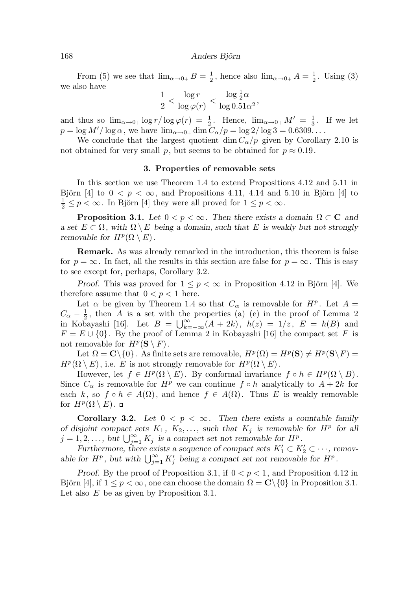From (5) we see that  $\lim_{\alpha \to 0+} B = \frac{1}{2}$  $\frac{1}{2}$ , hence also  $\lim_{\alpha \to 0+} A = \frac{1}{2}$  $\frac{1}{2}$ . Using (3) we also have

$$
\frac{1}{2} < \frac{\log r}{\log \varphi(r)} < \frac{\log \frac{1}{2}\alpha}{\log 0.51\alpha^2},
$$

and thus so  $\lim_{\alpha \to 0+} \log r / \log \varphi(r) = \frac{1}{2}$  $\frac{1}{2}$ . Hence,  $\lim_{\alpha\to 0+} M' = \frac{1}{3}$  $\frac{1}{3}$ . If we let  $p = \log M'/\log \alpha$ , we have  $\lim_{\alpha \to 0+} \dim C_{\alpha}/p = \log 2/\log 3 = 0.6309...$ 

We conclude that the largest quotient dim  $C_{\alpha}/p$  given by Corollary 2.10 is not obtained for very small p, but seems to be obtained for  $p \approx 0.19$ .

## 3. Properties of removable sets

In this section we use Theorem 1.4 to extend Propositions 4.12 and 5.11 in Björn [4] to  $0 < p < \infty$ , and Propositions 4.11, 4.14 and 5.10 in Björn [4] to  $\frac{1}{2} \leq p < \infty$ . In Björn [4] they were all proved for  $1 \leq p < \infty$ .

**Proposition 3.1.** Let  $0 < p < \infty$ . Then there exists a domain  $\Omega \subset \mathbb{C}$  and a set  $E \subset \Omega$ , with  $\Omega \setminus E$  being a domain, such that E is weakly but not strongly removable for  $H^p(\Omega \setminus E)$ .

Remark. As was already remarked in the introduction, this theorem is false for  $p = \infty$ . In fact, all the results in this section are false for  $p = \infty$ . This is easy to see except for, perhaps, Corollary 3.2.

Proof. This was proved for  $1 \leq p < \infty$  in Proposition 4.12 in Björn [4]. We therefore assume that  $0 < p < 1$  here.

Let  $\alpha$  be given by Theorem 1.4 so that  $C_{\alpha}$  is removable for  $H^{p}$ . Let  $A =$  $C_{\alpha} - \frac{1}{2}$  $\frac{1}{2}$ , then A is a set with the properties (a)–(e) in the proof of Lemma 2 in Kobayashi [16]. Let  $B = \bigcup_{k=-\infty}^{\infty} (A + 2k)$ ,  $h(z) = 1/z$ ,  $E = h(B)$  and  $F = E \cup \{0\}$ . By the proof of Lemma 2 in Kobayashi [16] the compact set F is not removable for  $H^p(\mathbf{S} \setminus F)$ .

Let  $\Omega = \mathbf{C} \setminus \{0\}$ . As finite sets are removable,  $H^p(\Omega) = H^p(\mathbf{S}) \neq H^p(\mathbf{S} \setminus F) =$  $H^p(\Omega \setminus E)$ , i.e. E is not strongly removable for  $H^p(\Omega \setminus E)$ .

However, let  $f \in H^p(\Omega \setminus E)$ . By conformal invariance  $f \circ h \in H^p(\Omega \setminus B)$ . Since  $C_{\alpha}$  is removable for  $H^{p}$  we can continue  $f \circ h$  analytically to  $A + 2k$  for each k, so  $f \circ h \in A(\Omega)$ , and hence  $f \in A(\Omega)$ . Thus E is weakly removable for  $H^p(\Omega \setminus E)$ .

**Corollary 3.2.** Let  $0 < p < \infty$ . Then there exists a countable family of disjoint compact sets  $K_1$ ,  $K_2, \ldots$ , such that  $K_j$  is removable for  $H^p$  for all  $j = 1, 2, \ldots$ , but  $\bigcup_{j=1}^{\infty} K_j$  is a compact set not removable for  $H^p$ .

Furthermore, there exists a sequence of compact sets  $K'_1 \subset K'_2 \subset \cdots$ , removable for  $H^p$ , but with  $\bigcup_{j=1}^{\infty} K'_j$  being a compact set not removable for  $H^p$ .

Proof. By the proof of Proposition 3.1, if  $0 < p < 1$ , and Proposition 4.12 in Björn [4], if  $1 \leq p \leq \infty$ , one can choose the domain  $\Omega = \mathbb{C} \setminus \{0\}$  in Proposition 3.1. Let also E be as given by Proposition 3.1.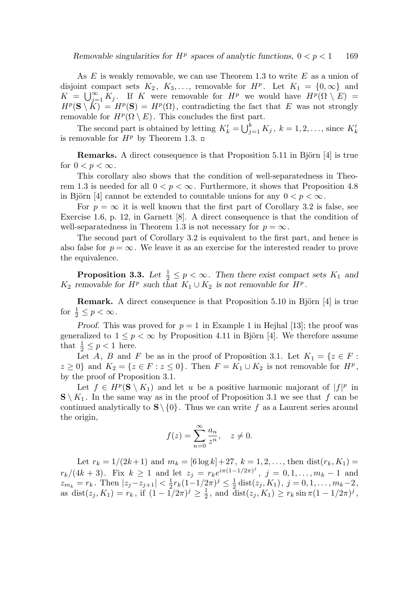As  $E$  is weakly removable, we can use Theorem 1.3 to write  $E$  as a union of disjoint compact sets  $K_2$ ,  $K_3$ ,..., removable for  $H^p$ . Let  $K_1 = \{0, \infty\}$  and  $K = \bigcup_{j=1}^{\infty} K_j$ . If K were removable for  $H^p$  we would have  $H^p(\Omega \setminus E)$  =  $H^p(S \setminus K) = H^p(S) = H^p(\Omega)$ , contradicting the fact that E was not strongly removable for  $H^p(\Omega \setminus E)$ . This concludes the first part.

The second part is obtained by letting  $K'_{k} = \bigcup_{j=1}^{k} K_{j}$ ,  $k = 1, 2, ...,$  since  $K'_{k}$ is removable for  $H^p$  by Theorem 1.3.  $\Box$ 

**Remarks.** A direct consequence is that Proposition 5.11 in Björn [4] is true for  $0 < p < \infty$ .

This corollary also shows that the condition of well-separatedness in Theorem 1.3 is needed for all  $0 < p < \infty$ . Furthermore, it shows that Proposition 4.8 in Björn [4] cannot be extended to countable unions for any  $0 < p < \infty$ .

For  $p = \infty$  it is well known that the first part of Corollary 3.2 is false, see Exercise 1.6, p. 12, in Garnett [8]. A direct consequence is that the condition of well-separatedness in Theorem 1.3 is not necessary for  $p = \infty$ .

The second part of Corollary 3.2 is equivalent to the first part, and hence is also false for  $p = \infty$ . We leave it as an exercise for the interested reader to prove the equivalence.

**Proposition 3.3.** Let  $\frac{1}{2} \leq p < \infty$ . Then there exist compact sets  $K_1$  and  $K_2$  removable for  $H^p$  such that  $K_1 \cup K_2$  is not removable for  $H^p$ .

**Remark.** A direct consequence is that Proposition 5.10 in Björn  $[4]$  is true for  $\frac{1}{2} \leq p < \infty$ .

Proof. This was proved for  $p = 1$  in Example 1 in Hejhal [13]; the proof was generalized to  $1 \leq p < \infty$  by Proposition 4.11 in Björn [4]. We therefore assume that  $\frac{1}{2} \leq p < 1$  here.

Let A, B and F be as in the proof of Proposition 3.1. Let  $K_1 = \{z \in F :$  $z \geq 0$ } and  $K_2 = \{z \in F : z \leq 0\}$ . Then  $F = K_1 \cup K_2$  is not removable for  $H^p$ , by the proof of Proposition 3.1.

Let  $f \in H^p(\mathbf{S} \setminus K_1)$  and let u be a positive harmonic majorant of  $|f|^p$  in  $\mathbf{S} \setminus K_1$ . In the same way as in the proof of Proposition 3.1 we see that f can be continued analytically to  $S \setminus \{0\}$ . Thus we can write f as a Laurent series around the origin,

$$
f(z) = \sum_{n=0}^{\infty} \frac{a_n}{z^n}, \quad z \neq 0.
$$

Let  $r_k = 1/(2k+1)$  and  $m_k = [6 \log k] + 27$ ,  $k = 1, 2, \ldots$ , then  $dist(r_k, K_1) =$  $r_k/(4k+3)$ . Fix  $k \ge 1$  and let  $z_j = r_k e^{i\pi(1-1/2\pi)^j}$ ,  $j = 0, 1, ..., m_k - 1$  and  $z_{m_k} = r_k$ . Then  $|z_j - z_{j+1}| < \frac{1}{2}$  $\frac{1}{2}r_k(1-1/2\pi)^j \leq \frac{1}{2}$  $\frac{1}{2}$  dist( $z_j$ ,  $K_1$ ),  $j = 0, 1, \ldots, m_k-2$ , as dist $(z_j, K_1) = r_k$ , if  $(1 - \frac{1}{2\pi})^j \geq \frac{1}{2}$  $\frac{1}{2}$ , and  $\bar{\text{dist}}(z_j, K_1) \ge r_k \sin \pi (1 - 1/2\pi)^j$ ,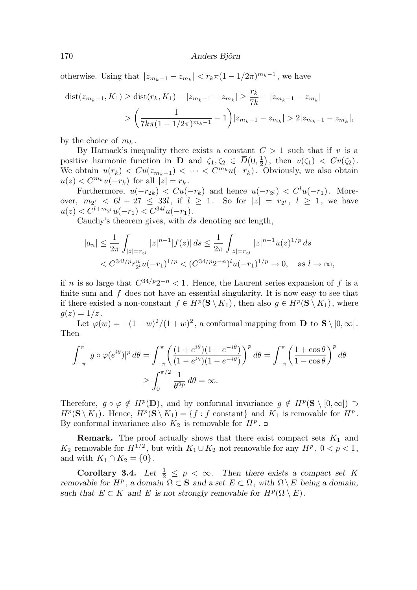otherwise. Using that  $|z_{m_k-1} - z_{m_k}| < r_k \pi (1 - 1/2\pi)^{m_k-1}$ , we have

$$
\text{dist}(z_{m_k-1}, K_1) \ge \text{dist}(r_k, K_1) - |z_{m_k-1} - z_{m_k}| \ge \frac{r_k}{7k} - |z_{m_k-1} - z_{m_k}|
$$
  
> 
$$
\left(\frac{1}{7k\pi(1 - 1/2\pi)^{m_k - 1}} - 1\right)|z_{m_k-1} - z_{m_k}| > 2|z_{m_k-1} - z_{m_k}|,
$$

by the choice of  $m_k$ .

By Harnack's inequality there exists a constant  $C > 1$  such that if v is a positive harmonic function in **D** and  $\zeta_1, \zeta_2 \in \overline{D}(0, \frac{1}{2})$  $\frac{1}{2}$ , then  $v(\zeta_1) < Cv(\zeta_2)$ . We obtain  $u(r_k) < Cu(z_{m_k-1}) < \cdots < C^{m_k}u(-r_k)$ . Obviously, we also obtain  $u(z) \leq C^{m_k} u(-r_k)$  for all  $|z| = r_k$ .

Furthermore,  $u(-r_{2k}) < Cu(-r_k)$  and hence  $u(-r_{2l}) < C^l u(-r_1)$ . Moreover,  $m_{2^l} < 6l + 27 \leq 33l$ , if  $l \geq 1$ . So for  $|z| = r_{2^l}$ ,  $l \geq 1$ , we have  $u(z) < C^{l+m_{2l}}u(-r_1) < C^{34l}u(-r_1).$ 

Cauchy's theorem gives, with ds denoting arc length,

$$
|a_n| \le \frac{1}{2\pi} \int_{|z|=r_{2l}} |z|^{n-1} |f(z)| ds \le \frac{1}{2\pi} \int_{|z|=r_{2l}} |z|^{n-1} u(z)^{1/p} ds
$$
  
<  $C^{34l/p} r_{2l}^n u(-r_1)^{1/p} < (C^{34/p} 2^{-n})^l u(-r_1)^{1/p} \to 0, \text{ as } l \to \infty,$ 

if *n* is so large that  $C^{34/p}2^{-n} < 1$ . Hence, the Laurent series expansion of f is a finite sum and  $f$  does not have an essential singularity. It is now easy to see that if there existed a non-constant  $f \in H^p(\mathbf{S} \setminus K_1)$ , then also  $g \in H^p(\mathbf{S} \setminus K_1)$ , where  $q(z) = 1/z$ .

Let  $\varphi(w) = -(1-w)^2/(1+w)^2$ , a conformal mapping from **D** to **S** \[0, \omeg). Then

$$
\int_{-\pi}^{\pi} |g \circ \varphi(e^{i\theta})|^p d\theta = \int_{-\pi}^{\pi} \left( \frac{(1 + e^{i\theta})(1 + e^{-i\theta})}{(1 - e^{i\theta})(1 - e^{-i\theta})} \right)^p d\theta = \int_{-\pi}^{\pi} \left( \frac{1 + \cos \theta}{1 - \cos \theta} \right)^p d\theta
$$

$$
\ge \int_0^{\pi/2} \frac{1}{\theta^{2p}} d\theta = \infty.
$$

Therefore,  $g \circ \varphi \notin H^p(\mathbf{D})$ , and by conformal invariance  $g \notin H^p(\mathbf{S} \setminus [0,\infty])$  $H^p(\mathbf{S} \setminus K_1)$ . Hence,  $H^p(\mathbf{S} \setminus K_1) = \{f : f \text{ constant}\}\$ and  $K_1$  is removable for  $H^p$ . By conformal invariance also  $K_2$  is removable for  $H^p$ .

**Remark.** The proof actually shows that there exist compact sets  $K_1$  and  $K_2$  removable for  $H^{1/2}$ , but with  $K_1 \cup K_2$  not removable for any  $H^p$ ,  $0 < p < 1$ , and with  $K_1 \cap K_2 = \{0\}.$ 

**Corollary 3.4.** Let  $\frac{1}{2} \leq p < \infty$ . Then there exists a compact set K removable for  $H^p$ , a domain  $\Omega \subset \mathbf{S}$  and a set  $E \subset \Omega$ , with  $\Omega \setminus E$  being a domain, such that  $E \subset K$  and E is not strongly removable for  $H^p(\Omega \setminus E)$ .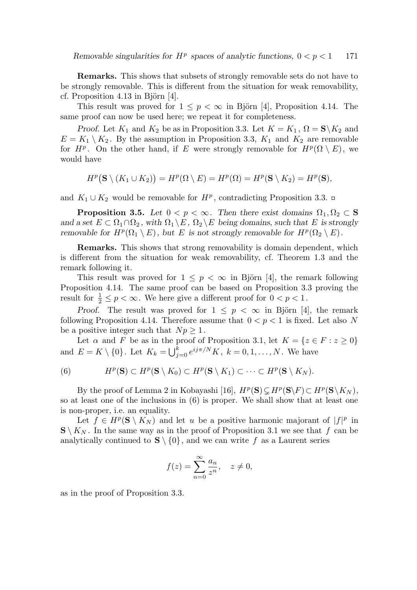Remarks. This shows that subsets of strongly removable sets do not have to be strongly removable. This is different from the situation for weak removability, cf. Proposition 4.13 in Björn  $[4]$ .

This result was proved for  $1 \leq p < \infty$  in Björn [4], Proposition 4.14. The same proof can now be used here; we repeat it for completeness.

*Proof.* Let  $K_1$  and  $K_2$  be as in Proposition 3.3. Let  $K = K_1$ ,  $\Omega = \mathbf{S} \setminus K_2$  and  $E = K_1 \setminus K_2$ . By the assumption in Proposition 3.3,  $K_1$  and  $K_2$  are removable for  $H^p$ . On the other hand, if E were strongly removable for  $H^p(\Omega \setminus E)$ , we would have

$$
H^p\big(\mathbf{S} \setminus (K_1 \cup K_2)\big) = H^p(\Omega \setminus E) = H^p(\Omega) = H^p(\mathbf{S} \setminus K_2) = H^p(\mathbf{S}),
$$

and  $K_1 \cup K_2$  would be removable for  $H^p$ , contradicting Proposition 3.3.

**Proposition 3.5.** Let  $0 < p < \infty$ . Then there exist domains  $\Omega_1, \Omega_2 \subset \mathbf{S}$ and a set  $E \subset \Omega_1 \cap \Omega_2$ , with  $\Omega_1 \backslash E$ ,  $\Omega_2 \backslash E$  being domains, such that E is strongly removable for  $H^p(\Omega_1 \setminus E)$ , but E is not strongly removable for  $H^p(\Omega_2 \setminus E)$ .

Remarks. This shows that strong removability is domain dependent, which is different from the situation for weak removability, cf. Theorem 1.3 and the remark following it.

This result was proved for  $1 \leq p < \infty$  in Björn [4], the remark following Proposition 4.14. The same proof can be based on Proposition 3.3 proving the result for  $\frac{1}{2} \leq p < \infty$ . We here give a different proof for  $0 < p < 1$ .

Proof. The result was proved for  $1 \leq p \leq \infty$  in Björn [4], the remark following Proposition 4.14. Therefore assume that  $0 < p < 1$  is fixed. Let also N be a positive integer such that  $Np \geq 1$ .

Let  $\alpha$  and F be as in the proof of Proposition 3.1, let  $K = \{z \in F : z \ge 0\}$ and  $E = K \setminus \{0\}$ . Let  $K_k = \bigcup_{j=0}^k e^{ij\pi/N} K$ ,  $k = 0, 1, ..., N$ . We have

(6) 
$$
H^p(\mathbf{S}) \subset H^p(\mathbf{S} \setminus K_0) \subset H^p(\mathbf{S} \setminus K_1) \subset \cdots \subset H^p(\mathbf{S} \setminus K_N).
$$

By the proof of Lemma 2 in Kobayashi [16],  $H^p(S) \subsetneq H^p(S \backslash F) \subset H^p(S \backslash K_N)$ , so at least one of the inclusions in (6) is proper. We shall show that at least one is non-proper, i.e. an equality.

Let  $f \in H^p(\mathbf{S} \setminus K_N)$  and let u be a positive harmonic majorant of  $|f|^p$  in  $\mathbf{S} \setminus K_N$ . In the same way as in the proof of Proposition 3.1 we see that f can be analytically continued to  $S \setminus \{0\}$ , and we can write f as a Laurent series

$$
f(z) = \sum_{n=0}^{\infty} \frac{a_n}{z^n}, \quad z \neq 0,
$$

as in the proof of Proposition 3.3.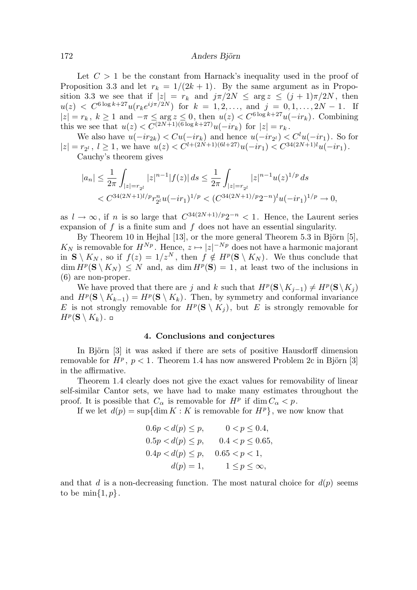Let  $C > 1$  be the constant from Harnack's inequality used in the proof of Proposition 3.3 and let  $r_k = 1/(2k+1)$ . By the same argument as in Proposition 3.3 we see that if  $|z| = r_k$  and  $j\pi/2N \le \arg z \le (j+1)\pi/2N$ , then  $u(z) < C^{6 \log k + 27} u(r_k e^{i j \pi/2N})$  for  $k = 1, 2, ...,$  and  $j = 0, 1, ..., 2N - 1$ . If  $|z| = r_k$ ,  $k \ge 1$  and  $-\pi \le \arg z \le 0$ , then  $u(z) < C^{6 \log k + 27}u(-ir_k)$ . Combining this we see that  $u(z) < C^{(2N+1)(6 \log k + 27)} u(-ir_k)$  for  $|z| = r_k$ .

We also have  $u(-ir_{2k}) < Cu(-ir_k)$  and hence  $u(-ir_{2^l}) < C^l u(-ir_1)$ . So for  $|z| = r_{2^l}, l \ge 1$ , we have  $u(z) < C^{l+(2N+1)(6l+27)}u(-ir_1) < C^{34(2N+1)l}u(-ir_1)$ . Cauchy's theorem gives

$$
\begin{aligned} |a_n|&\leq \frac{1}{2\pi}\int_{|z|=r_{2^l}} |z|^{n-1}|f(z)|\,ds\leq \frac{1}{2\pi}\int_{|z|=r_{2^l}} |z|^{n-1}u(z)^{1/p}\,ds\\ &< C^{34(2N+1)l/p}r_{2^l}^nu(-ir_1)^{1/p}< (C^{34(2N+1)/p}2^{-n})^lu(-ir_1)^{1/p}\to 0, \end{aligned}
$$

as  $l \to \infty$ , if n is so large that  $C^{34(2N+1)/p}2^{-n} < 1$ . Hence, the Laurent series expansion of  $f$  is a finite sum and  $f$  does not have an essential singularity.

By Theorem 10 in Hejhal  $[13]$ , or the more general Theorem 5.3 in Björn  $[5]$ ,  $K_N$  is removable for  $H^{N_p}$ . Hence,  $z \mapsto |z|^{-N_p}$  does not have a harmonic majorant in  $S \setminus K_N$ , so if  $f(z) = 1/z^N$ , then  $f \notin H^p(S \setminus K_N)$ . We thus conclude that  $\dim H^p(\mathbf{S} \setminus K_N) \leq N$  and, as  $\dim H^p(\mathbf{S}) = 1$ , at least two of the inclusions in (6) are non-proper.

We have proved that there are j and k such that  $H^p(\mathbf{S}\setminus K_{j-1}) \neq H^p(\mathbf{S}\setminus K_j)$ and  $H^p(\mathbf{S} \setminus K_{k-1}) = H^p(\mathbf{S} \setminus K_k)$ . Then, by symmetry and conformal invariance E is not strongly removable for  $H^p(\mathbf{S} \setminus K_j)$ , but E is strongly removable for  $H^p(\mathbf{S}\setminus K_k)$ .

## 4. Conclusions and conjectures

In Björn [3] it was asked if there are sets of positive Hausdorff dimension removable for  $H^p$ ,  $p < 1$ . Theorem 1.4 has now answered Problem 2c in Björn [3] in the affirmative.

Theorem 1.4 clearly does not give the exact values for removability of linear self-similar Cantor sets, we have had to make many estimates throughout the proof. It is possible that  $C_{\alpha}$  is removable for  $H^p$  if  $\dim C_{\alpha} < p$ .

If we let  $d(p) = \sup\{\dim K : K \text{ is removable for } H^p\}$ , we now know that

$$
0.6p < d(p) \le p, \t 0 < p \le 0.4,
$$
  
\n
$$
0.5p < d(p) \le p, \t 0.4 < p \le 0.65,
$$
  
\n
$$
0.4p < d(p) \le p, \t 0.65 < p < 1,
$$
  
\n
$$
d(p) = 1, \t 1 \le p \le \infty,
$$

and that d is a non-decreasing function. The most natural choice for  $d(p)$  seems to be  $\min\{1, p\}.$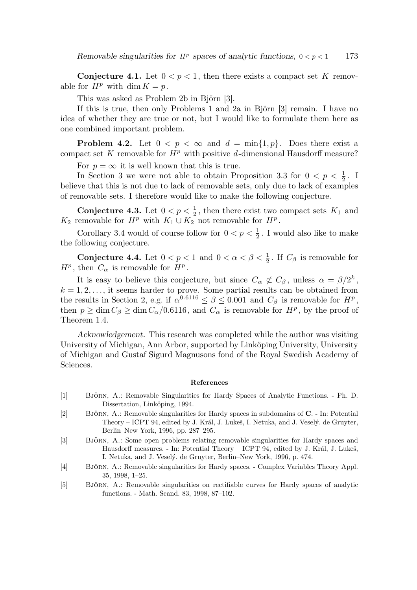**Conjecture 4.1.** Let  $0 < p < 1$ , then there exists a compact set K removable for  $H^p$  with dim  $K = p$ .

This was asked as Problem 2b in Björn [3].

If this is true, then only Problems 1 and 2a in Björn  $[3]$  remain. I have no idea of whether they are true or not, but I would like to formulate them here as one combined important problem.

**Problem 4.2.** Let  $0 < p < \infty$  and  $d = \min\{1, p\}$ . Does there exist a compact set K removable for  $H^p$  with positive d-dimensional Hausdorff measure?

For  $p = \infty$  it is well known that this is true.

In Section 3 we were not able to obtain Proposition 3.3 for  $0 < p < \frac{1}{2}$  $\frac{1}{2}$ . I believe that this is not due to lack of removable sets, only due to lack of examples of removable sets. I therefore would like to make the following conjecture.

Conjecture 4.3. Let  $0 < p < \frac{1}{2}$  $\frac{1}{2}$ , then there exist two compact sets  $K_1$  and  $K_2$  removable for  $H^p$  with  $K_1 \cup K_2$  not removable for  $H^p$ .

Corollary 3.4 would of course follow for  $0 < p < \frac{1}{2}$  $\frac{1}{2}$ . I would also like to make the following conjecture.

Conjecture 4.4. Let  $0 < p < 1$  and  $0 < \alpha < \beta < \frac{1}{2}$  $\frac{1}{2}$ . If  $C_{\beta}$  is removable for  $H^p$ , then  $C_{\alpha}$  is removable for  $H^p$ .

It is easy to believe this conjecture, but since  $C_{\alpha} \not\subset C_{\beta}$ , unless  $\alpha = \beta/2^{k}$ ,  $k = 1, 2, \ldots$ , it seems harder to prove. Some partial results can be obtained from the results in Section 2, e.g. if  $\alpha^{0.6116} \le \beta \le 0.001$  and  $C_{\beta}$  is removable for  $H^p$ , then  $p \ge \dim C_\beta \ge \dim C_\alpha/0.6116$ , and  $C_\alpha$  is removable for  $H^p$ , by the proof of Theorem 1.4.

Acknowledgement. This research was completed while the author was visiting University of Michigan, Ann Arbor, supported by Linköping University, University of Michigan and Gustaf Sigurd Magnusons fond of the Royal Swedish Academy of Sciences.

#### References

- [1] BJÖRN, A.: Removable Singularities for Hardy Spaces of Analytic Functions. Ph. D. Dissertation, Linköping, 1994.
- [2] BJÖRN, A.: Removable singularities for Hardy spaces in subdomains of C. In: Potential Theory – ICPT 94, edited by J. Král, J. Lukeš, I. Netuka, and J. Veselý. de Gruyter, Berlin–New York, 1996, pp. 287–295.
- [3] BJÖRN, A.: Some open problems relating removable singularities for Hardy spaces and Hausdorff measures. - In: Potential Theory – ICPT 94, edited by J. Král, J. Lukeš, I. Netuka, and J. Veselý. de Gruyter, Berlin–New York, 1996, p. 474.
- [4] BJÖRN, A.: Removable singularities for Hardy spaces. Complex Variables Theory Appl. 35, 1998, 1–25.
- [5] BJÖRN, A.: Removable singularities on rectifiable curves for Hardy spaces of analytic functions. - Math. Scand. 83, 1998, 87–102.